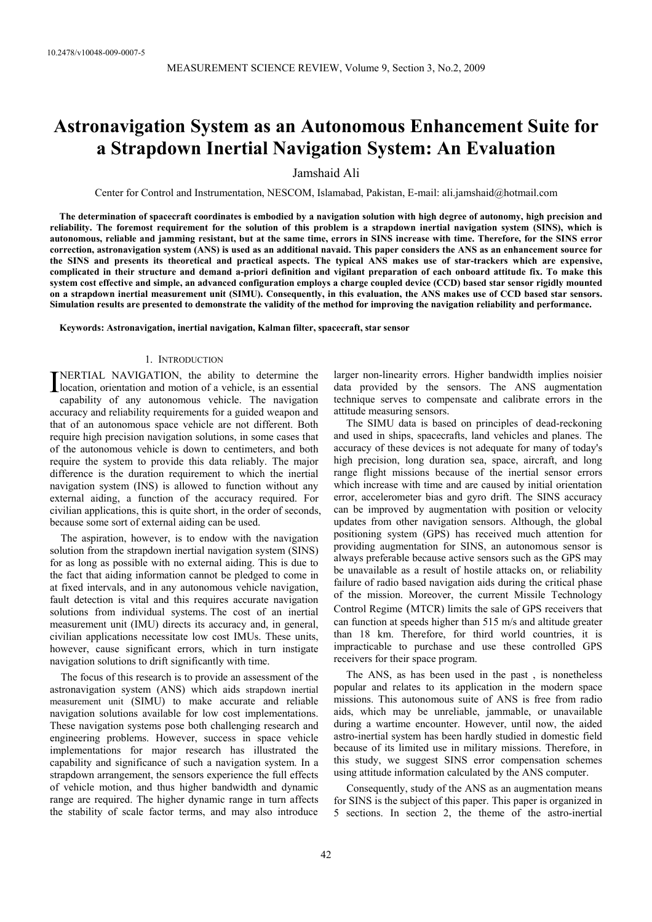# **Astronavigation System as an Autonomous Enhancement Suite for a Strapdown Inertial Navigation System: An Evaluation**

Jamshaid Ali

Center for Control and Instrumentation, NESCOM, Islamabad, Pakistan, E-mail: ali.jamshaid@hotmail.com

**The determination of spacecraft coordinates is embodied by a navigation solution with high degree of autonomy, high precision and reliability. The foremost requirement for the solution of this problem is a strapdown inertial navigation system (SINS), which is autonomous, reliable and jamming resistant, but at the same time, errors in SINS increase with time. Therefore, for the SINS error correction, astronavigation system (ANS) is used as an additional navaid. This paper considers the ANS as an enhancement source for the SINS and presents its theoretical and practical aspects. The typical ANS makes use of star-trackers which are expensive, complicated in their structure and demand a-priori definition and vigilant preparation of each onboard attitude fix. To make this system cost effective and simple, an advanced configuration employs a charge coupled device (CCD) based star sensor rigidly mounted on a strapdown inertial measurement unit (SIMU). Consequently, in this evaluation, the ANS makes use of CCD based star sensors. Simulation results are presented to demonstrate the validity of the method for improving the navigation reliability and performance.** 

**Keywords: Astronavigation, inertial navigation, Kalman filter, spacecraft, star sensor**

## 1. INTRODUCTION

NERTIAL NAVIGATION, the ability to determine the **INERTIAL NAVIGATION**, the ability to determine the location, orientation and motion of a vehicle, is an essential capability of any autonomous vehicle. The navigation accuracy and reliability requirements for a guided weapon and that of an autonomous space vehicle are not different. Both require high precision navigation solutions, in some cases that of the autonomous vehicle is down to centimeters, and both require the system to provide this data reliably. The major difference is the duration requirement to which the inertial navigation system (INS) is allowed to function without any external aiding, a function of the accuracy required. For civilian applications, this is quite short, in the order of seconds, because some sort of external aiding can be used.

The aspiration, however, is to endow with the navigation solution from the strapdown inertial navigation system (SINS) for as long as possible with no external aiding. This is due to the fact that aiding information cannot be pledged to come in at fixed intervals, and in any autonomous vehicle navigation, fault detection is vital and this requires accurate navigation solutions from individual systems. The cost of an inertial measurement unit (IMU) directs its accuracy and, in general, civilian applications necessitate low cost IMUs. These units, however, cause significant errors, which in turn instigate navigation solutions to drift significantly with time.

The focus of this research is to provide an assessment of the astronavigation system (ANS) which aids strapdown inertial measurement unit (SIMU) to make accurate and reliable navigation solutions available for low cost implementations. These navigation systems pose both challenging research and engineering problems. However, success in space vehicle implementations for major research has illustrated the capability and significance of such a navigation system. In a strapdown arrangement, the sensors experience the full effects of vehicle motion, and thus higher bandwidth and dynamic range are required. The higher dynamic range in turn affects the stability of scale factor terms, and may also introduce

larger non-linearity errors. Higher bandwidth implies noisier data provided by the sensors. The ANS augmentation technique serves to compensate and calibrate errors in the attitude measuring sensors.

The SIMU data is based on principles of dead-reckoning and used in ships, spacecrafts, land vehicles and planes. The accuracy of these devices is not adequate for many of today's high precision, long duration sea, space, aircraft, and long range flight missions because of the inertial sensor errors which increase with time and are caused by initial orientation error, accelerometer bias and gyro drift. The SINS accuracy can be improved by augmentation with position or velocity updates from other navigation sensors. Although, the global positioning system (GPS) has received much attention for providing augmentation for SINS, an autonomous sensor is always preferable because active sensors such as the GPS may be unavailable as a result of hostile attacks on, or reliability failure of radio based navigation aids during the critical phase of the mission. Moreover, the current Missile Technology Control Regime (MTCR) limits the sale of GPS receivers that can function at speeds higher than 515 m/s and altitude greater than 18 km. Therefore, for third world countries, it is impracticable to purchase and use these controlled GPS receivers for their space program.

The ANS, as has been used in the past , is nonetheless popular and relates to its application in the modern space missions. This autonomous suite of ANS is free from radio aids, which may be unreliable, jammable, or unavailable during a wartime encounter. However, until now, the aided astro-inertial system has been hardly studied in domestic field because of its limited use in military missions. Therefore, in this study, we suggest SINS error compensation schemes using attitude information calculated by the ANS computer.

Consequently, study of the ANS as an augmentation means for SINS is the subject of this paper. This paper is organized in 5 sections. In section 2, the theme of the astro-inertial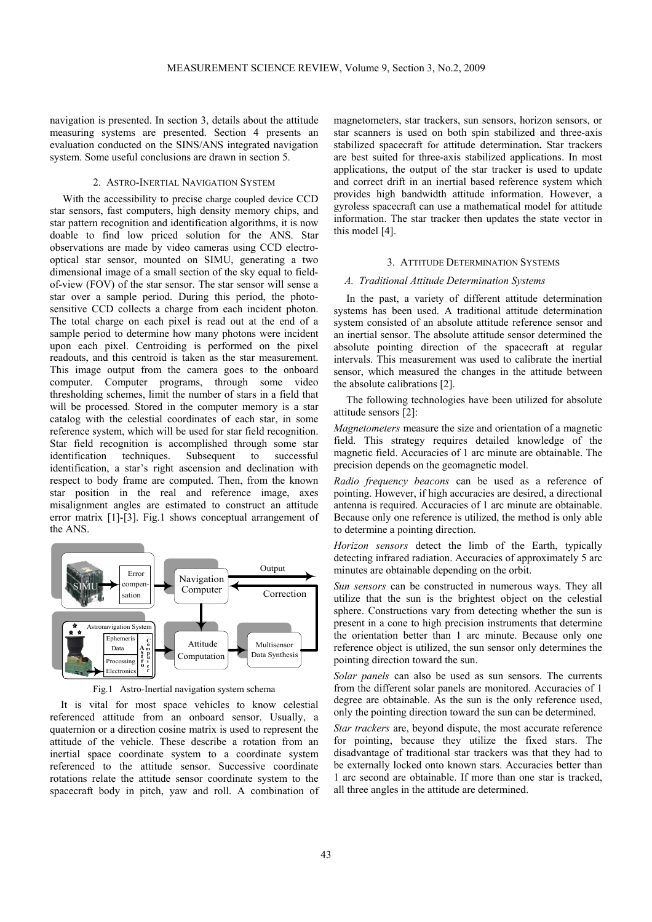navigation is presented. In section 3, details about the attitude measuring systems are presented. Section 4 presents an evaluation conducted on the SINS/ANS integrated navigation system. Some useful conclusions are drawn in section 5.

## 2. ASTRO-INERTIAL NAVIGATION SYSTEM

With the accessibility to precise charge coupled device CCD star sensors, fast computers, high density memory chips, and star pattern recognition and identification algorithms, it is now doable to find low priced solution for the ANS. Star observations are made by video cameras using CCD electrooptical star sensor, mounted on SIMU, generating a two dimensional image of a small section of the sky equal to fieldof-view (FOV) of the star sensor. The star sensor will sense a star over a sample period. During this period, the photosensitive CCD collects a charge from each incident photon. The total charge on each pixel is read out at the end of a sample period to determine how many photons were incident upon each pixel. Centroiding is performed on the pixel readouts, and this centroid is taken as the star measurement. This image output from the camera goes to the onboard computer. Computer programs, through some video thresholding schemes, limit the number of stars in a field that will be processed. Stored in the computer memory is a star catalog with the celestial coordinates of each star, in some reference system, which will be used for star field recognition. Star field recognition is accomplished through some star identification techniques. Subsequent to successful identification, a star's right ascension and declination with respect to body frame are computed. Then, from the known star position in the real and reference image, axes misalignment angles are estimated to construct an attitude error matrix [1]-[3]. Fig.1 shows conceptual arrangement of the ANS.



Fig.1 Astro-Inertial navigation system schema

It is vital for most space vehicles to know celestial referenced attitude from an onboard sensor. Usually, a quaternion or a direction cosine matrix is used to represent the attitude of the vehicle. These describe a rotation from an inertial space coordinate system to a coordinate system referenced to the attitude sensor. Successive coordinate rotations relate the attitude sensor coordinate system to the spacecraft body in pitch, yaw and roll. A combination of magnetometers, star trackers, sun sensors, horizon sensors, or star scanners is used on both spin stabilized and three-axis stabilized spacecraft for attitude determination**.** Star trackers are best suited for three-axis stabilized applications. In most applications, the output of the star tracker is used to update and correct drift in an inertial based reference system which provides high bandwidth attitude information. However, a gyroless spacecraft can use a mathematical model for attitude information. The star tracker then updates the state vector in this model [4].

### 3. ATTITUDE DETERMINATION SYSTEMS

## *A. Traditional Attitude Determination Systems*

In the past, a variety of different attitude determination systems has been used. A traditional attitude determination system consisted of an absolute attitude reference sensor and an inertial sensor. The absolute attitude sensor determined the absolute pointing direction of the spacecraft at regular intervals. This measurement was used to calibrate the inertial sensor, which measured the changes in the attitude between the absolute calibrations [2].

The following technologies have been utilized for absolute attitude sensors [2]:

*Magnetometers* measure the size and orientation of a magnetic field. This strategy requires detailed knowledge of the magnetic field. Accuracies of 1 arc minute are obtainable. The precision depends on the geomagnetic model.

*Radio frequency beacons* can be used as a reference of pointing. However, if high accuracies are desired, a directional antenna is required. Accuracies of 1 arc minute are obtainable. Because only one reference is utilized, the method is only able to determine a pointing direction.

*Horizon sensors* detect the limb of the Earth, typically detecting infrared radiation. Accuracies of approximately 5 arc minutes are obtainable depending on the orbit.

*Sun sensors* can be constructed in numerous ways. They all utilize that the sun is the brightest object on the celestial sphere. Constructions vary from detecting whether the sun is present in a cone to high precision instruments that determine the orientation better than 1 arc minute. Because only one reference object is utilized, the sun sensor only determines the pointing direction toward the sun.

*Solar panels* can also be used as sun sensors. The currents from the different solar panels are monitored. Accuracies of 1 degree are obtainable. As the sun is the only reference used, only the pointing direction toward the sun can be determined.

*Star trackers* are, beyond dispute, the most accurate reference for pointing, because they utilize the fixed stars. The disadvantage of traditional star trackers was that they had to be externally locked onto known stars. Accuracies better than 1 arc second are obtainable. If more than one star is tracked, all three angles in the attitude are determined.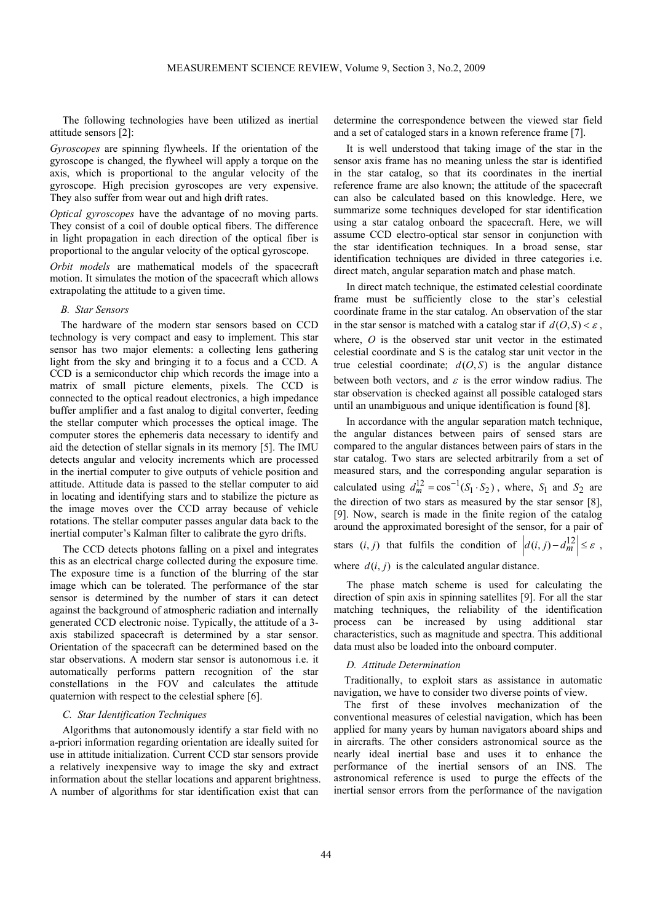The following technologies have been utilized as inertial attitude sensors [2]:

*Gyroscopes* are spinning flywheels. If the orientation of the gyroscope is changed, the flywheel will apply a torque on the axis, which is proportional to the angular velocity of the gyroscope. High precision gyroscopes are very expensive. They also suffer from wear out and high drift rates.

*Optical gyroscopes* have the advantage of no moving parts. They consist of a coil of double optical fibers. The difference in light propagation in each direction of the optical fiber is proportional to the angular velocity of the optical gyroscope.

*Orbit models* are mathematical models of the spacecraft motion. It simulates the motion of the spacecraft which allows extrapolating the attitude to a given time.

## *B. Star Sensors*

The hardware of the modern star sensors based on CCD technology is very compact and easy to implement. This star sensor has two major elements: a collecting lens gathering light from the sky and bringing it to a focus and a CCD. A CCD is a semiconductor chip which records the image into a matrix of small picture elements, pixels. The CCD is connected to the optical readout electronics, a high impedance buffer amplifier and a fast analog to digital converter, feeding the stellar computer which processes the optical image. The computer stores the ephemeris data necessary to identify and aid the detection of stellar signals in its memory [5]. The IMU detects angular and velocity increments which are processed in the inertial computer to give outputs of vehicle position and attitude. Attitude data is passed to the stellar computer to aid in locating and identifying stars and to stabilize the picture as the image moves over the CCD array because of vehicle rotations. The stellar computer passes angular data back to the inertial computer's Kalman filter to calibrate the gyro drifts.

The CCD detects photons falling on a pixel and integrates this as an electrical charge collected during the exposure time. The exposure time is a function of the blurring of the star image which can be tolerated. The performance of the star sensor is determined by the number of stars it can detect against the background of atmospheric radiation and internally generated CCD electronic noise. Typically, the attitude of a 3 axis stabilized spacecraft is determined by a star sensor. Orientation of the spacecraft can be determined based on the star observations. A modern star sensor is autonomous i.e. it automatically performs pattern recognition of the star constellations in the FOV and calculates the attitude quaternion with respect to the celestial sphere [6].

## *C. Star Identification Techniques*

Algorithms that autonomously identify a star field with no a-priori information regarding orientation are ideally suited for use in attitude initialization. Current CCD star sensors provide a relatively inexpensive way to image the sky and extract information about the stellar locations and apparent brightness. A number of algorithms for star identification exist that can

determine the correspondence between the viewed star field and a set of cataloged stars in a known reference frame [7].

It is well understood that taking image of the star in the sensor axis frame has no meaning unless the star is identified in the star catalog, so that its coordinates in the inertial reference frame are also known; the attitude of the spacecraft can also be calculated based on this knowledge. Here, we summarize some techniques developed for star identification using a star catalog onboard the spacecraft. Here, we will assume CCD electro-optical star sensor in conjunction with the star identification techniques. In a broad sense, star identification techniques are divided in three categories i.e. direct match, angular separation match and phase match.

In direct match technique, the estimated celestial coordinate frame must be sufficiently close to the star's celestial coordinate frame in the star catalog. An observation of the star in the star sensor is matched with a catalog star if  $d(O, S) < \varepsilon$ , where, *O* is the observed star unit vector in the estimated celestial coordinate and S is the catalog star unit vector in the true celestial coordinate;  $d(O, S)$  is the angular distance between both vectors, and  $\varepsilon$  is the error window radius. The star observation is checked against all possible cataloged stars until an unambiguous and unique identification is found [8].

In accordance with the angular separation match technique, the angular distances between pairs of sensed stars are compared to the angular distances between pairs of stars in the star catalog. Two stars are selected arbitrarily from a set of measured stars, and the corresponding angular separation is calculated using  $d_m^{12} = \cos^{-1}(S_1 \cdot S_2)$ , where,  $S_1$  and  $S_2$  are the direction of two stars as measured by the star sensor [8], [9]. Now, search is made in the finite region of the catalog around the approximated boresight of the sensor, for a pair of stars  $(i, j)$  that fulfils the condition of  $|d(i, j) - d_m^{\frac{12}{}}| \leq \varepsilon$ ,

where  $d(i, j)$  is the calculated angular distance.

The phase match scheme is used for calculating the direction of spin axis in spinning satellites [9]. For all the star matching techniques, the reliability of the identification process can be increased by using additional star characteristics, such as magnitude and spectra. This additional data must also be loaded into the onboard computer.

## *D. Attitude Determination*

 Traditionally, to exploit stars as assistance in automatic navigation, we have to consider two diverse points of view.

 The first of these involves mechanization of the conventional measures of celestial navigation, which has been applied for many years by human navigators aboard ships and in aircrafts. The other considers astronomical source as the nearly ideal inertial base and uses it to enhance the performance of the inertial sensors of an INS. The astronomical reference is used to purge the effects of the inertial sensor errors from the performance of the navigation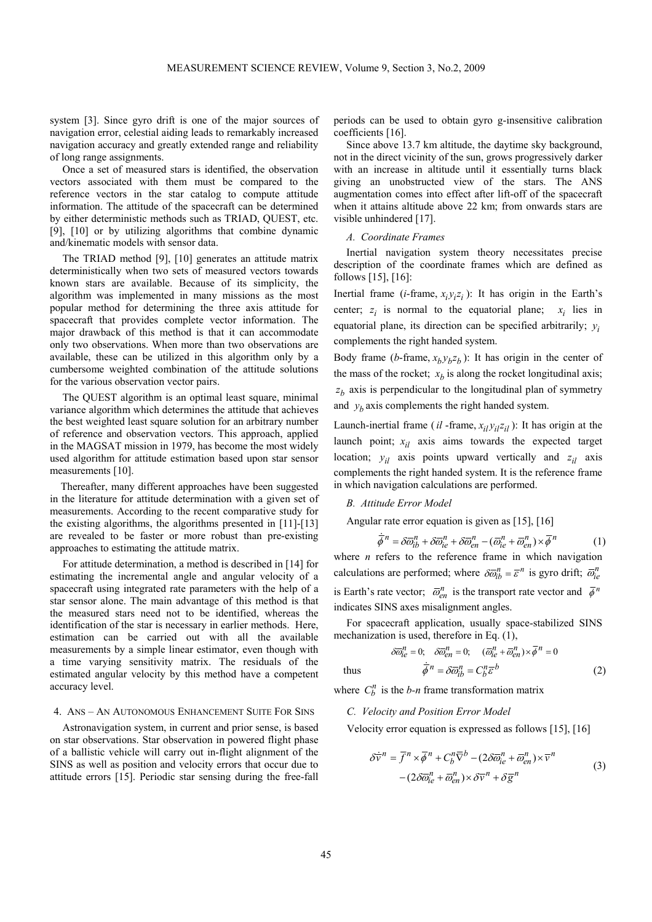system [3]. Since gyro drift is one of the major sources of navigation error, celestial aiding leads to remarkably increased navigation accuracy and greatly extended range and reliability of long range assignments.

Once a set of measured stars is identified, the observation vectors associated with them must be compared to the reference vectors in the star catalog to compute attitude information. The attitude of the spacecraft can be determined by either deterministic methods such as TRIAD, QUEST, etc. [9], [10] or by utilizing algorithms that combine dynamic and/kinematic models with sensor data.

The TRIAD method [9], [10] generates an attitude matrix deterministically when two sets of measured vectors towards known stars are available. Because of its simplicity, the algorithm was implemented in many missions as the most popular method for determining the three axis attitude for spacecraft that provides complete vector information. The major drawback of this method is that it can accommodate only two observations. When more than two observations are available, these can be utilized in this algorithm only by a cumbersome weighted combination of the attitude solutions for the various observation vector pairs.

The QUEST algorithm is an optimal least square, minimal variance algorithm which determines the attitude that achieves the best weighted least square solution for an arbitrary number of reference and observation vectors. This approach, applied in the MAGSAT mission in 1979, has become the most widely used algorithm for attitude estimation based upon star sensor measurements [10].

Thereafter, many different approaches have been suggested in the literature for attitude determination with a given set of measurements. According to the recent comparative study for the existing algorithms, the algorithms presented in [11]-[13] are revealed to be faster or more robust than pre-existing approaches to estimating the attitude matrix.

For attitude determination, a method is described in [14] for estimating the incremental angle and angular velocity of a spacecraft using integrated rate parameters with the help of a star sensor alone. The main advantage of this method is that the measured stars need not to be identified, whereas the identification of the star is necessary in earlier methods. Here, estimation can be carried out with all the available measurements by a simple linear estimator, even though with a time varying sensitivity matrix. The residuals of the estimated angular velocity by this method have a competent accuracy level.

## 4. ANS – AN AUTONOMOUS ENHANCEMENT SUITE FOR SINS

Astronavigation system, in current and prior sense, is based on star observations. Star observation in powered flight phase of a ballistic vehicle will carry out in-flight alignment of the SINS as well as position and velocity errors that occur due to attitude errors [15]. Periodic star sensing during the free-fall periods can be used to obtain gyro g-insensitive calibration coefficients [16].

Since above 13.7 km altitude, the daytime sky background, not in the direct vicinity of the sun, grows progressively darker with an increase in altitude until it essentially turns black giving an unobstructed view of the stars. The ANS augmentation comes into effect after lift-off of the spacecraft when it attains altitude above 22 km; from onwards stars are visible unhindered [17].

### *A. Coordinate Frames*

Inertial navigation system theory necessitates precise description of the coordinate frames which are defined as follows [15], [16]:

Inertial frame  $(i$ -frame,  $x_i y_i z_i$ ): It has origin in the Earth's center;  $z_i$  is normal to the equatorial plane;  $x_i$  lies in equatorial plane, its direction can be specified arbitrarily;  $y_i$ complements the right handed system.

Body frame (*b*-frame,  $x_h y_h z_h$ ): It has origin in the center of the mass of the rocket;  $x_b$  is along the rocket longitudinal axis;  $z<sub>b</sub>$  axis is perpendicular to the longitudinal plan of symmetry and  $y_h$  axis complements the right handed system.

Launch-inertial frame (*il* -frame,  $x_{i}$   $y_{i}$   $z_{i}$ ): It has origin at the launch point;  $x_{il}$  axis aims towards the expected target location;  $y_{il}$  axis points upward vertically and  $z_{il}$  axis complements the right handed system. It is the reference frame in which navigation calculations are performed.

#### *B. Attitude Error Model*

Angular rate error equation is given as [15], [16]

 $\dot{\overline{\phi}}^n = \delta \overline{\omega}_{ib}^n + \delta \overline{\omega}_{ie}^n + \delta \overline{\omega}_{en}^n - (\overline{\omega}_{ie}^n + \overline{\omega}_{en}^n) \times \overline{\phi}^n$  (1) where *n* refers to the reference frame in which navigation calculations are performed; where  $\delta \overline{\omega}_{ib}^n = \overline{\varepsilon}^n$  is gyro drift;  $\overline{\omega}_{ie}^n$ is Earth's rate vector;  $\overline{\omega}_{en}^n$  is the transport rate vector and  $\overline{\phi}^n$ indicates SINS axes misalignment angles.

For spacecraft application, usually space-stabilized SINS mechanization is used, therefore in Eq. (1),

$$
\delta \overline{\omega}_{ie}^{n} = 0; \quad \delta \overline{\omega}_{en}^{n} = 0; \quad (\overline{\omega}_{ie}^{n} + \overline{\omega}_{en}^{n}) \times \overline{\phi}^{n} = 0
$$

where  $C_b^n$  is the *b*-*n* frame transformation matrix

# *C. Velocity and Position Error Model*

Velocity error equation is expressed as follows [15], [16]

$$
\delta \dot{\overline{v}}^n = \overline{f}^n \times \overline{\phi}^n + C_b^n \overline{\nabla}^b - (2\delta \overline{\omega}_{ie}^n + \overline{\omega}_{en}^n) \times \overline{v}^n
$$
  
 
$$
- (2\delta \overline{\omega}_{ie}^n + \overline{\omega}_{en}^n) \times \delta \overline{v}^n + \delta \overline{g}^n
$$
 (3)

 $\dot{\bar{\phi}}^n = \delta \bar{\omega}_{ib}^n = C_b^n \bar{\varepsilon}^b$  (2)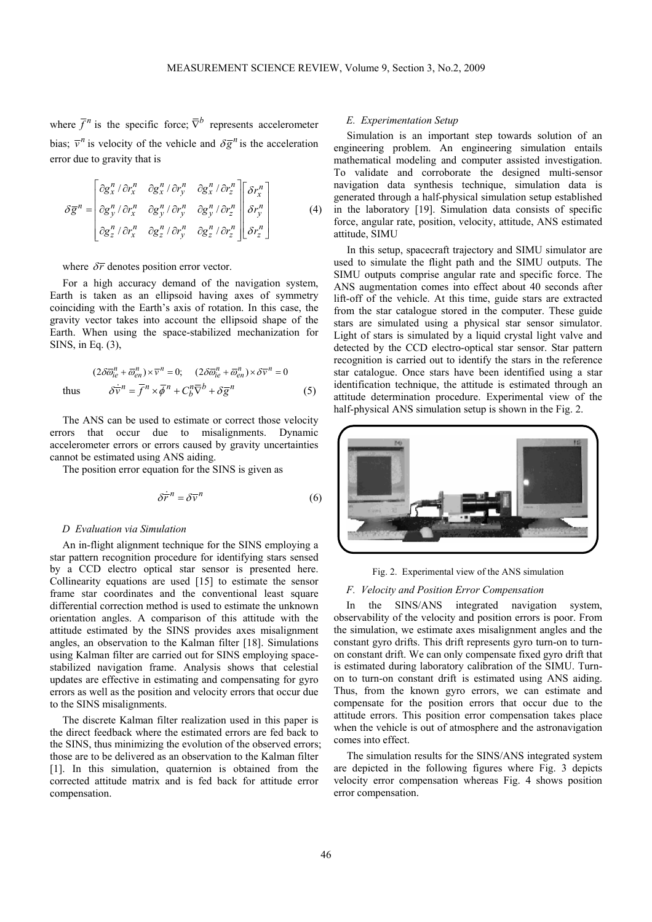where  $\overline{f}^n$  is the specific force;  $\overline{\nabla}^b$  represents accelerometer bias;  $\bar{v}^n$  is velocity of the vehicle and  $\delta \bar{g}^n$  is the acceleration error due to gravity that is

$$
\delta \overline{g}^n = \begin{bmatrix} \partial g_x^n / \partial r_x^n & \partial g_x^n / \partial r_y^n & \partial g_x^n / \partial r_z^n \\ \partial g_y^n / \partial r_x^n & \partial g_y^n / \partial r_y^n & \partial g_y^n / \partial r_z^n \\ \partial g_z^n / \partial r_x^n & \partial g_z^n / \partial r_y^n & \partial g_z^n / \partial r_z^n \end{bmatrix} \begin{bmatrix} \delta r_x^n \\ \delta r_y^n \\ \delta r_z^n \end{bmatrix}
$$
(4)

### where  $\delta \bar{r}$  denotes position error vector.

For a high accuracy demand of the navigation system. Earth is taken as an ellipsoid having axes of symmetry coinciding with the Earth's axis of rotation. In this case, the gravity vector takes into account the ellipsoid shape of the Earth. When using the space-stabilized mechanization for SINS, in Eq. (3),

$$
(2\delta\overline{\omega}_{ie}^{n} + \overline{\omega}_{en}^{n}) \times \overline{v}^{n} = 0; \quad (2\delta\overline{\omega}_{ie}^{n} + \overline{\omega}_{en}^{n}) \times \delta\overline{v}^{n} = 0
$$
  
thus 
$$
\delta\overline{v}^{n} = \overline{f}^{n} \times \overline{\phi}^{n} + C_{b}^{n} \overline{\nabla}^{b} + \delta\overline{g}^{n}
$$
 (5)

The ANS can be used to estimate or correct those velocity errors that occur due to misalignments. Dynamic accelerometer errors or errors caused by gravity uncertainties cannot be estimated using ANS aiding.

The position error equation for the SINS is given as

$$
\delta \dot{\overline{r}}^n = \delta \overline{v}^n \tag{6}
$$

#### *D Evaluation via Simulation*

An in-flight alignment technique for the SINS employing a star pattern recognition procedure for identifying stars sensed by a CCD electro optical star sensor is presented here. Collinearity equations are used [15] to estimate the sensor frame star coordinates and the conventional least square differential correction method is used to estimate the unknown orientation angles. A comparison of this attitude with the attitude estimated by the SINS provides axes misalignment angles, an observation to the Kalman filter [18]. Simulations using Kalman filter are carried out for SINS employing spacestabilized navigation frame. Analysis shows that celestial updates are effective in estimating and compensating for gyro errors as well as the position and velocity errors that occur due to the SINS misalignments.

The discrete Kalman filter realization used in this paper is the direct feedback where the estimated errors are fed back to the SINS, thus minimizing the evolution of the observed errors; those are to be delivered as an observation to the Kalman filter [1]. In this simulation, quaternion is obtained from the corrected attitude matrix and is fed back for attitude error compensation.

## *E. Experimentation Setup*

Simulation is an important step towards solution of an engineering problem. An engineering simulation entails mathematical modeling and computer assisted investigation. To validate and corroborate the designed multi-sensor navigation data synthesis technique, simulation data is generated through a half-physical simulation setup established in the laboratory [19]. Simulation data consists of specific force, angular rate, position, velocity, attitude, ANS estimated attitude, SIMU

In this setup, spacecraft trajectory and SIMU simulator are used to simulate the flight path and the SIMU outputs. The SIMU outputs comprise angular rate and specific force. The ANS augmentation comes into effect about 40 seconds after lift-off of the vehicle. At this time, guide stars are extracted from the star catalogue stored in the computer. These guide stars are simulated using a physical star sensor simulator. Light of stars is simulated by a liquid crystal light valve and detected by the CCD electro-optical star sensor. Star pattern recognition is carried out to identify the stars in the reference star catalogue. Once stars have been identified using a star identification technique, the attitude is estimated through an attitude determination procedure. Experimental view of the half-physical ANS simulation setup is shown in the Fig. 2.



Fig. 2. Experimental view of the ANS simulation

#### *F. Velocity and Position Error Compensation*

In the SINS/ANS integrated navigation system, observability of the velocity and position errors is poor. From the simulation, we estimate axes misalignment angles and the constant gyro drifts. This drift represents gyro turn-on to turnon constant drift. We can only compensate fixed gyro drift that is estimated during laboratory calibration of the SIMU. Turnon to turn-on constant drift is estimated using ANS aiding. Thus, from the known gyro errors, we can estimate and compensate for the position errors that occur due to the attitude errors. This position error compensation takes place when the vehicle is out of atmosphere and the astronavigation comes into effect.

The simulation results for the SINS/ANS integrated system are depicted in the following figures where Fig. 3 depicts velocity error compensation whereas Fig. 4 shows position error compensation.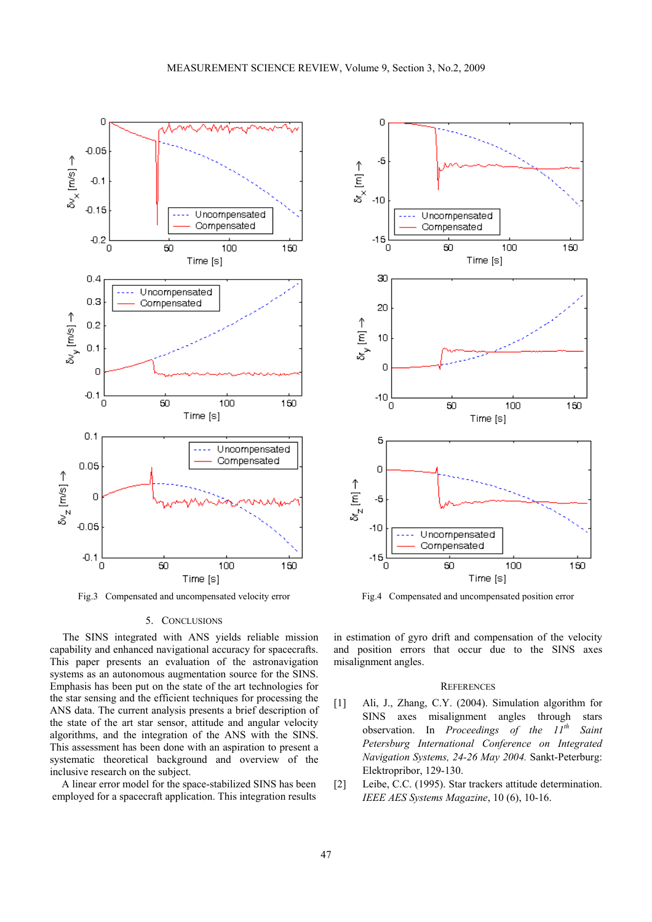

Fig.3 Compensated and uncompensated velocity error

## 5. CONCLUSIONS

The SINS integrated with ANS yields reliable mission capability and enhanced navigational accuracy for spacecrafts. This paper presents an evaluation of the astronavigation systems as an autonomous augmentation source for the SINS. Emphasis has been put on the state of the art technologies for the star sensing and the efficient techniques for processing the ANS data. The current analysis presents a brief description of the state of the art star sensor, attitude and angular velocity algorithms, and the integration of the ANS with the SINS. This assessment has been done with an aspiration to present a systematic theoretical background and overview of the inclusive research on the subject.

A linear error model for the space-stabilized SINS has been employed for a spacecraft application. This integration results



Fig.4 Compensated and uncompensated position error

in estimation of gyro drift and compensation of the velocity and position errors that occur due to the SINS axes misalignment angles.

#### **REFERENCES**

- [1] Ali, J., Zhang, C.Y. (2004). Simulation algorithm for SINS axes misalignment angles through stars observation. In *Proceedings of the 11th Saint Petersburg International Conference on Integrated Navigation Systems, 24-26 May 2004.* Sankt-Peterburg: Elektropribor, 129-130.
- [2] Leibe, C.C. (1995). Star trackers attitude determination. *IEEE AES Systems Magazine*, 10 (6), 10-16.